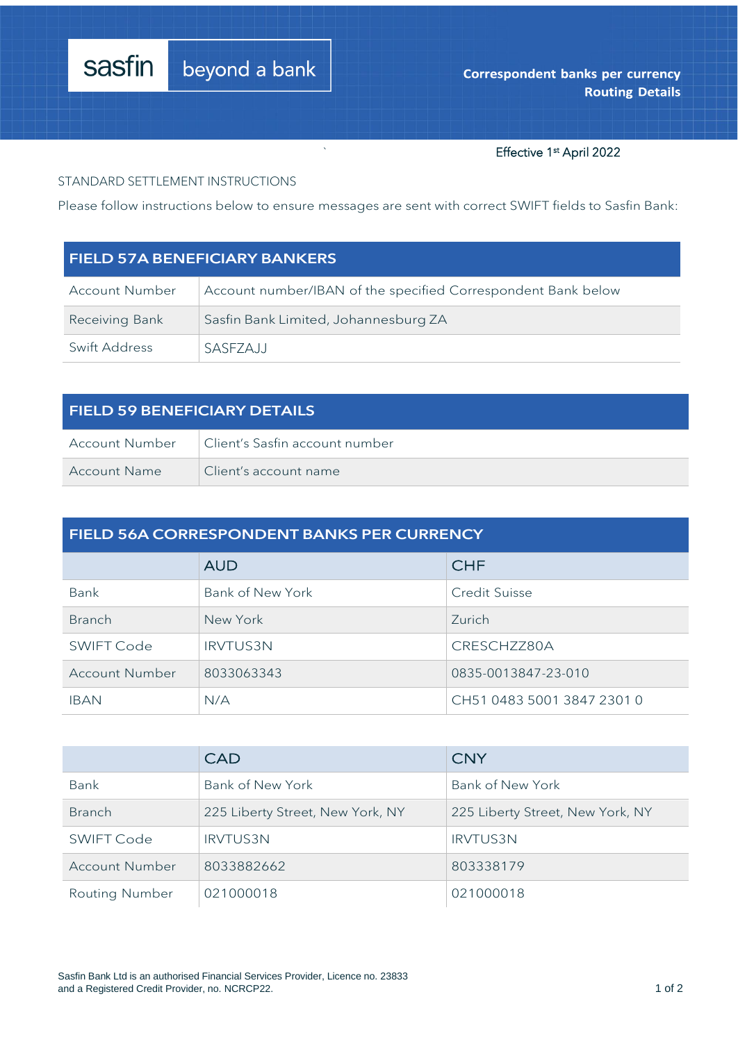sasfin beyond a bank

` Effective 1 st April 2022

## STANDARD SETTLEMENT INSTRUCTIONS

Please follow instructions below to ensure messages are sent with correct SWIFT fields to Sasfin Bank:

| <b>FIELD 57A BENEFICIARY BANKERS</b> |                                                               |  |
|--------------------------------------|---------------------------------------------------------------|--|
| Account Number                       | Account number/IBAN of the specified Correspondent Bank below |  |
| Receiving Bank                       | Sasfin Bank Limited, Johannesburg ZA                          |  |
| Swift Address                        | SASEZA.I.I                                                    |  |

| <b>FIELD 59 BENEFICIARY DETAILS</b> |                                    |  |
|-------------------------------------|------------------------------------|--|
| Account Number                      | -   Client's Sasfin account number |  |
| Account Name                        | Client's account name              |  |

| <b>FIELD 56A CORRESPONDENT BANKS PER CURRENCY</b> |                  |                            |
|---------------------------------------------------|------------------|----------------------------|
|                                                   | <b>AUD</b>       | <b>CHF</b>                 |
| <b>Bank</b>                                       | Bank of New York | <b>Credit Suisse</b>       |
| <b>Branch</b>                                     | New York         | Zurich                     |
| <b>SWIFT Code</b>                                 | <b>IRVTUS3N</b>  | CRESCHZZ80A                |
| Account Number                                    | 8033063343       | 0835-0013847-23-010        |
| <b>IBAN</b>                                       | N/A              | CH51 0483 5001 3847 2301 0 |

|                       | <b>CAD</b>                       | <b>CNY</b>                       |
|-----------------------|----------------------------------|----------------------------------|
| Bank                  | Bank of New York                 | Bank of New York                 |
| <b>Branch</b>         | 225 Liberty Street, New York, NY | 225 Liberty Street, New York, NY |
| SWIFT Code            | <b>IRVTUS3N</b>                  | <b>IRVTUS3N</b>                  |
| Account Number        | 8033882662                       | 803338179                        |
| <b>Routing Number</b> | 021000018                        | 021000018                        |